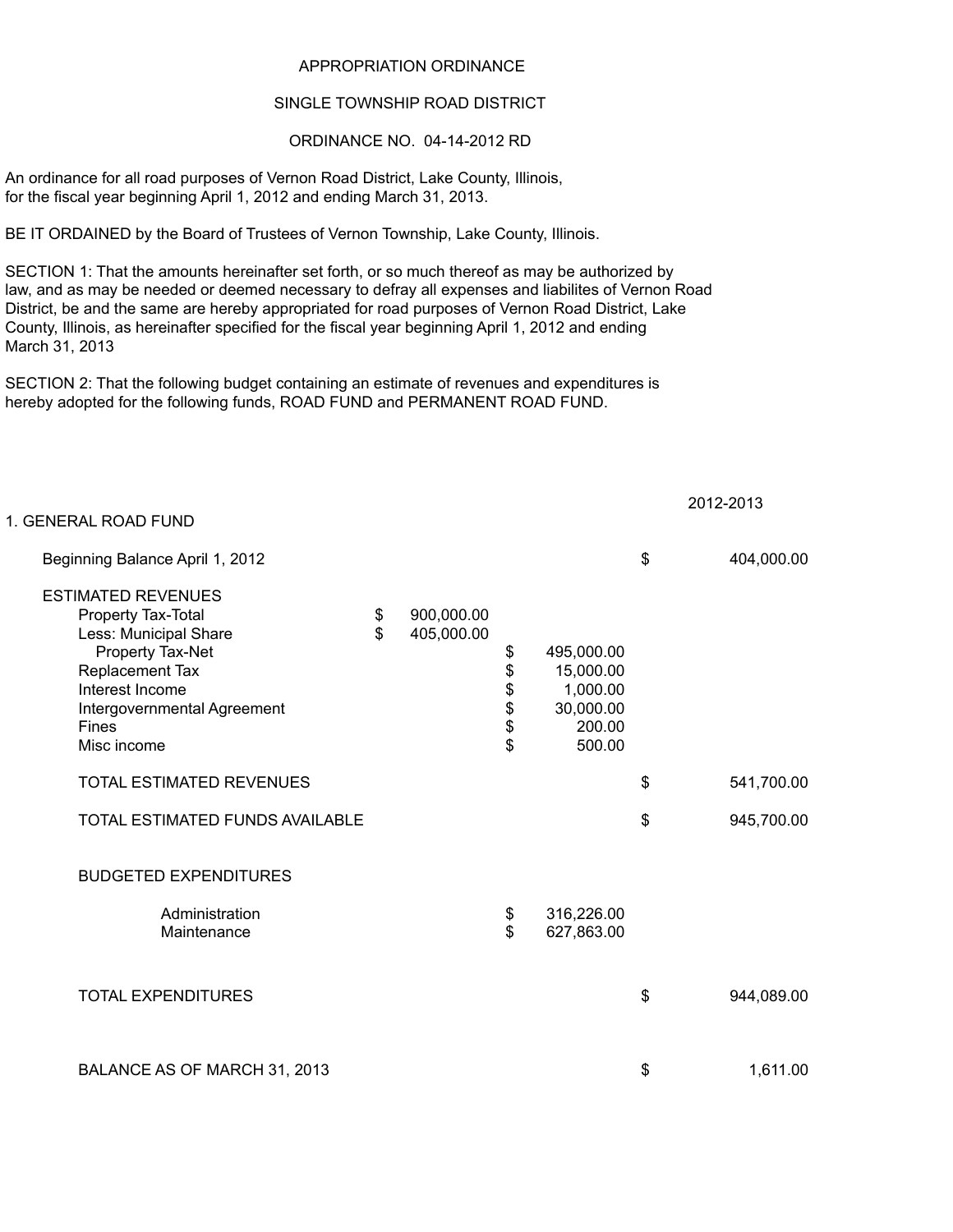## APPROPRIATION ORDINANCE

## SINGLE TOWNSHIP ROAD DISTRICT

## ORDINANCE NO. 04-14-2012 RD

An ordinance for all road purposes of Vernon Road District, Lake County, Illinois, for the fiscal year beginning April 1, 2012 and ending March 31, 2013.

BE IT ORDAINED by the Board of Trustees of Vernon Township, Lake County, Illinois.

SECTION 1: That the amounts hereinafter set forth, or so much thereof as may be authorized by law, and as may be needed or deemed necessary to defray all expenses and liabilites of Vernon Road District, be and the same are hereby appropriated for road purposes of Vernon Road District, Lake County, Illinois, as hereinafter specified for the fiscal year beginning April 1, 2012 and ending March 31, 2013

SECTION 2: That the following budget containing an estimate of revenues and expenditures is hereby adopted for the following funds, ROAD FUND and PERMANENT ROAD FUND.

| 1. GENERAL ROAD FUND                                                                                                                                                                             |          |                          |                                  |                                                                      | 2012-2013        |
|--------------------------------------------------------------------------------------------------------------------------------------------------------------------------------------------------|----------|--------------------------|----------------------------------|----------------------------------------------------------------------|------------------|
| Beginning Balance April 1, 2012                                                                                                                                                                  |          |                          |                                  |                                                                      | \$<br>404,000.00 |
| <b>ESTIMATED REVENUES</b><br>Property Tax-Total<br>Less: Municipal Share<br>Property Tax-Net<br>Replacement Tax<br>Interest Income<br>Intergovernmental Agreement<br><b>Fines</b><br>Misc income | \$<br>\$ | 900,000.00<br>405,000.00 | \$<br>\$<br>\$<br>\$<br>\$<br>\$ | 495,000.00<br>15,000.00<br>1,000.00<br>30,000.00<br>200.00<br>500.00 |                  |
| <b>TOTAL ESTIMATED REVENUES</b>                                                                                                                                                                  |          |                          |                                  |                                                                      | \$<br>541,700.00 |
| TOTAL ESTIMATED FUNDS AVAILABLE                                                                                                                                                                  |          |                          |                                  |                                                                      | \$<br>945,700.00 |
| <b>BUDGETED EXPENDITURES</b>                                                                                                                                                                     |          |                          |                                  |                                                                      |                  |
| Administration<br>Maintenance                                                                                                                                                                    |          |                          | \$<br>\$                         | 316,226.00<br>627,863.00                                             |                  |
| <b>TOTAL EXPENDITURES</b>                                                                                                                                                                        |          |                          |                                  |                                                                      | \$<br>944,089.00 |
| BALANCE AS OF MARCH 31, 2013                                                                                                                                                                     |          |                          |                                  |                                                                      | \$<br>1,611.00   |

2012-2012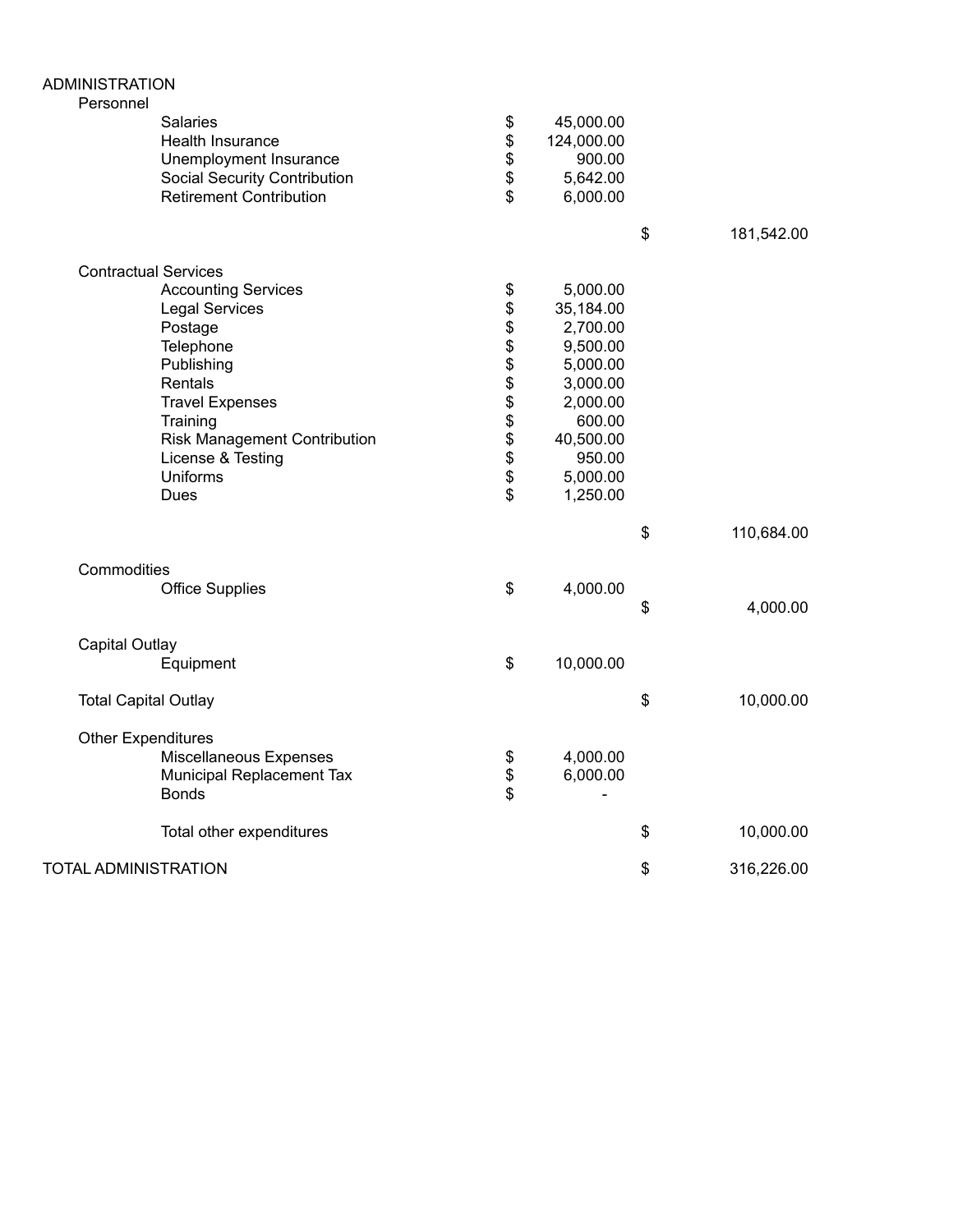| <b>ADMINISTRATION</b><br>Personnel |                                                                                                                                                                                                                            |                                   |                                                                                                                                            |                  |
|------------------------------------|----------------------------------------------------------------------------------------------------------------------------------------------------------------------------------------------------------------------------|-----------------------------------|--------------------------------------------------------------------------------------------------------------------------------------------|------------------|
|                                    | Salaries<br>Health Insurance<br>Unemployment Insurance<br><b>Social Security Contribution</b><br><b>Retirement Contribution</b>                                                                                            | \$<br>\$<br>\$<br>\$<br>\$        | 45,000.00<br>124,000.00<br>900.00<br>5,642.00<br>6,000.00                                                                                  |                  |
|                                    |                                                                                                                                                                                                                            |                                   |                                                                                                                                            | \$<br>181,542.00 |
| <b>Contractual Services</b>        | <b>Accounting Services</b><br><b>Legal Services</b><br>Postage<br>Telephone<br>Publishing<br>Rentals<br><b>Travel Expenses</b><br>Training<br><b>Risk Management Contribution</b><br>License & Testing<br>Uniforms<br>Dues | \$<br>\$<br>\$<br><b>88888888</b> | 5,000.00<br>35,184.00<br>2,700.00<br>9,500.00<br>5,000.00<br>3,000.00<br>2,000.00<br>600.00<br>40,500.00<br>950.00<br>5,000.00<br>1,250.00 |                  |
|                                    |                                                                                                                                                                                                                            |                                   |                                                                                                                                            | \$<br>110,684.00 |
| Commodities                        | <b>Office Supplies</b>                                                                                                                                                                                                     | \$                                | 4,000.00                                                                                                                                   | \$<br>4,000.00   |
| Capital Outlay                     | Equipment                                                                                                                                                                                                                  | \$                                | 10,000.00                                                                                                                                  |                  |
| <b>Total Capital Outlay</b>        |                                                                                                                                                                                                                            |                                   |                                                                                                                                            | \$<br>10,000.00  |
| <b>Other Expenditures</b>          | Miscellaneous Expenses<br>Municipal Replacement Tax<br><b>Bonds</b>                                                                                                                                                        | \$<br>\$<br>\$                    | 4,000.00<br>6,000.00                                                                                                                       |                  |
|                                    | Total other expenditures                                                                                                                                                                                                   |                                   |                                                                                                                                            | \$<br>10,000.00  |
| <b>TOTAL ADMINISTRATION</b>        |                                                                                                                                                                                                                            |                                   |                                                                                                                                            | \$<br>316,226.00 |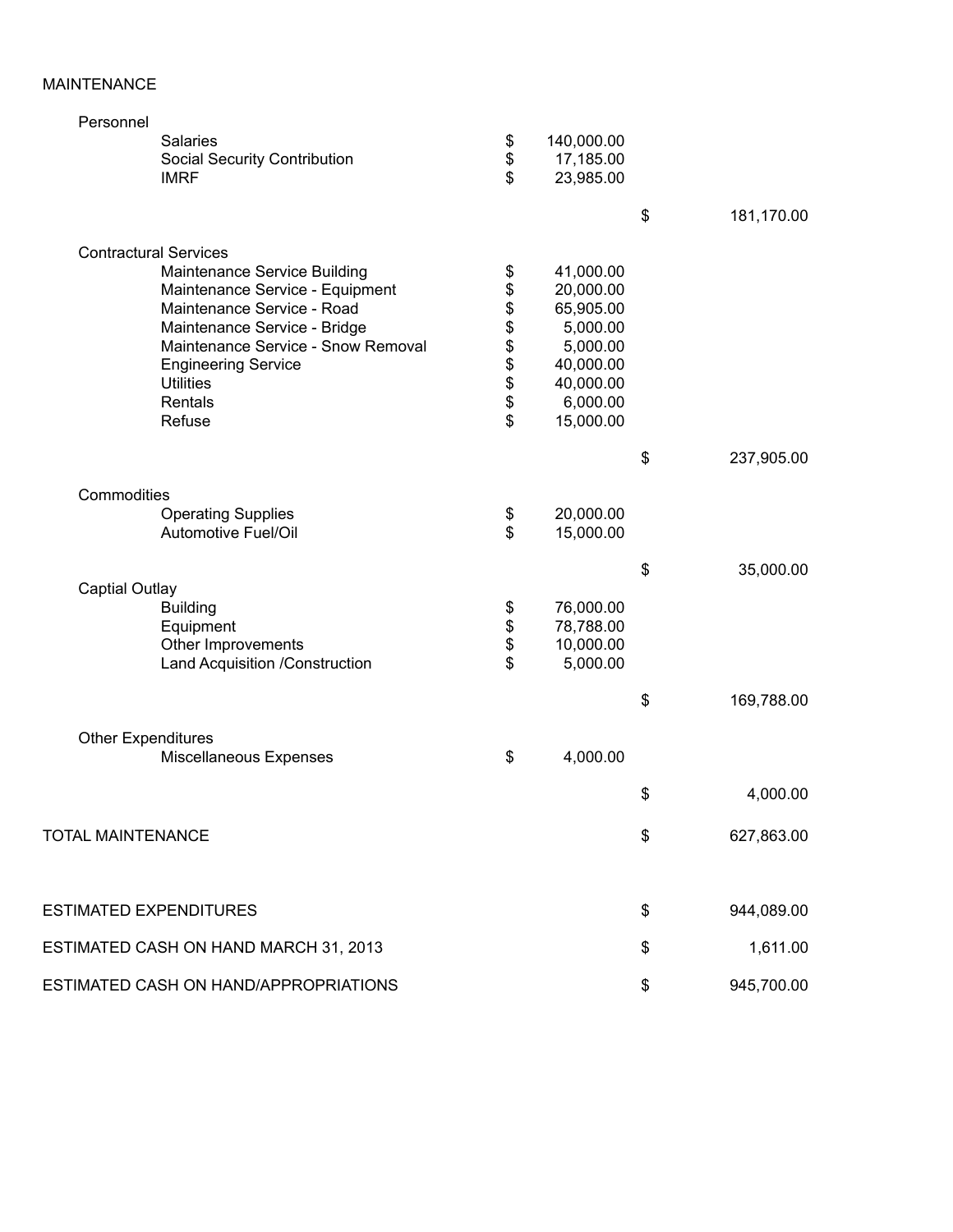## MAINTENANCE

| <b>Salaries</b> |                                                                                                                                                                                                                                                                                                                                                                                                                                                                                                                                                                                                                                                             | 140,000.00                                                                                                                          |                                                                                                                                                                                                         |                      |
|-----------------|-------------------------------------------------------------------------------------------------------------------------------------------------------------------------------------------------------------------------------------------------------------------------------------------------------------------------------------------------------------------------------------------------------------------------------------------------------------------------------------------------------------------------------------------------------------------------------------------------------------------------------------------------------------|-------------------------------------------------------------------------------------------------------------------------------------|---------------------------------------------------------------------------------------------------------------------------------------------------------------------------------------------------------|----------------------|
|                 |                                                                                                                                                                                                                                                                                                                                                                                                                                                                                                                                                                                                                                                             | 17,185.00                                                                                                                           |                                                                                                                                                                                                         |                      |
| <b>IMRF</b>     | \$                                                                                                                                                                                                                                                                                                                                                                                                                                                                                                                                                                                                                                                          | 23,985.00                                                                                                                           |                                                                                                                                                                                                         |                      |
|                 |                                                                                                                                                                                                                                                                                                                                                                                                                                                                                                                                                                                                                                                             |                                                                                                                                     |                                                                                                                                                                                                         |                      |
|                 |                                                                                                                                                                                                                                                                                                                                                                                                                                                                                                                                                                                                                                                             |                                                                                                                                     | \$                                                                                                                                                                                                      | 181,170.00           |
|                 |                                                                                                                                                                                                                                                                                                                                                                                                                                                                                                                                                                                                                                                             |                                                                                                                                     |                                                                                                                                                                                                         |                      |
|                 |                                                                                                                                                                                                                                                                                                                                                                                                                                                                                                                                                                                                                                                             |                                                                                                                                     |                                                                                                                                                                                                         |                      |
|                 |                                                                                                                                                                                                                                                                                                                                                                                                                                                                                                                                                                                                                                                             |                                                                                                                                     |                                                                                                                                                                                                         |                      |
|                 |                                                                                                                                                                                                                                                                                                                                                                                                                                                                                                                                                                                                                                                             |                                                                                                                                     |                                                                                                                                                                                                         |                      |
|                 |                                                                                                                                                                                                                                                                                                                                                                                                                                                                                                                                                                                                                                                             |                                                                                                                                     |                                                                                                                                                                                                         |                      |
|                 |                                                                                                                                                                                                                                                                                                                                                                                                                                                                                                                                                                                                                                                             |                                                                                                                                     |                                                                                                                                                                                                         |                      |
|                 |                                                                                                                                                                                                                                                                                                                                                                                                                                                                                                                                                                                                                                                             |                                                                                                                                     |                                                                                                                                                                                                         |                      |
|                 |                                                                                                                                                                                                                                                                                                                                                                                                                                                                                                                                                                                                                                                             |                                                                                                                                     |                                                                                                                                                                                                         |                      |
|                 |                                                                                                                                                                                                                                                                                                                                                                                                                                                                                                                                                                                                                                                             |                                                                                                                                     |                                                                                                                                                                                                         |                      |
|                 |                                                                                                                                                                                                                                                                                                                                                                                                                                                                                                                                                                                                                                                             |                                                                                                                                     |                                                                                                                                                                                                         |                      |
|                 |                                                                                                                                                                                                                                                                                                                                                                                                                                                                                                                                                                                                                                                             |                                                                                                                                     |                                                                                                                                                                                                         |                      |
|                 |                                                                                                                                                                                                                                                                                                                                                                                                                                                                                                                                                                                                                                                             |                                                                                                                                     |                                                                                                                                                                                                         | 237,905.00           |
|                 |                                                                                                                                                                                                                                                                                                                                                                                                                                                                                                                                                                                                                                                             |                                                                                                                                     |                                                                                                                                                                                                         |                      |
|                 |                                                                                                                                                                                                                                                                                                                                                                                                                                                                                                                                                                                                                                                             |                                                                                                                                     |                                                                                                                                                                                                         |                      |
|                 |                                                                                                                                                                                                                                                                                                                                                                                                                                                                                                                                                                                                                                                             |                                                                                                                                     |                                                                                                                                                                                                         |                      |
|                 |                                                                                                                                                                                                                                                                                                                                                                                                                                                                                                                                                                                                                                                             |                                                                                                                                     |                                                                                                                                                                                                         |                      |
|                 |                                                                                                                                                                                                                                                                                                                                                                                                                                                                                                                                                                                                                                                             |                                                                                                                                     |                                                                                                                                                                                                         | 35,000.00            |
|                 |                                                                                                                                                                                                                                                                                                                                                                                                                                                                                                                                                                                                                                                             |                                                                                                                                     |                                                                                                                                                                                                         |                      |
|                 |                                                                                                                                                                                                                                                                                                                                                                                                                                                                                                                                                                                                                                                             |                                                                                                                                     |                                                                                                                                                                                                         |                      |
|                 |                                                                                                                                                                                                                                                                                                                                                                                                                                                                                                                                                                                                                                                             |                                                                                                                                     |                                                                                                                                                                                                         |                      |
|                 |                                                                                                                                                                                                                                                                                                                                                                                                                                                                                                                                                                                                                                                             |                                                                                                                                     |                                                                                                                                                                                                         |                      |
|                 |                                                                                                                                                                                                                                                                                                                                                                                                                                                                                                                                                                                                                                                             |                                                                                                                                     |                                                                                                                                                                                                         |                      |
|                 |                                                                                                                                                                                                                                                                                                                                                                                                                                                                                                                                                                                                                                                             |                                                                                                                                     |                                                                                                                                                                                                         |                      |
|                 |                                                                                                                                                                                                                                                                                                                                                                                                                                                                                                                                                                                                                                                             |                                                                                                                                     | \$                                                                                                                                                                                                      | 169,788.00           |
|                 |                                                                                                                                                                                                                                                                                                                                                                                                                                                                                                                                                                                                                                                             |                                                                                                                                     |                                                                                                                                                                                                         |                      |
|                 |                                                                                                                                                                                                                                                                                                                                                                                                                                                                                                                                                                                                                                                             |                                                                                                                                     |                                                                                                                                                                                                         |                      |
|                 |                                                                                                                                                                                                                                                                                                                                                                                                                                                                                                                                                                                                                                                             |                                                                                                                                     |                                                                                                                                                                                                         |                      |
|                 |                                                                                                                                                                                                                                                                                                                                                                                                                                                                                                                                                                                                                                                             |                                                                                                                                     | \$                                                                                                                                                                                                      | 4,000.00             |
|                 |                                                                                                                                                                                                                                                                                                                                                                                                                                                                                                                                                                                                                                                             |                                                                                                                                     |                                                                                                                                                                                                         |                      |
|                 |                                                                                                                                                                                                                                                                                                                                                                                                                                                                                                                                                                                                                                                             |                                                                                                                                     |                                                                                                                                                                                                         | 627,863.00           |
|                 |                                                                                                                                                                                                                                                                                                                                                                                                                                                                                                                                                                                                                                                             |                                                                                                                                     |                                                                                                                                                                                                         |                      |
|                 |                                                                                                                                                                                                                                                                                                                                                                                                                                                                                                                                                                                                                                                             |                                                                                                                                     |                                                                                                                                                                                                         | 944,089.00           |
|                 |                                                                                                                                                                                                                                                                                                                                                                                                                                                                                                                                                                                                                                                             |                                                                                                                                     |                                                                                                                                                                                                         |                      |
|                 |                                                                                                                                                                                                                                                                                                                                                                                                                                                                                                                                                                                                                                                             |                                                                                                                                     | \$                                                                                                                                                                                                      | 1,611.00             |
|                 |                                                                                                                                                                                                                                                                                                                                                                                                                                                                                                                                                                                                                                                             |                                                                                                                                     | \$                                                                                                                                                                                                      | 945,700.00           |
|                 | <b>Social Security Contribution</b><br><b>Contractural Services</b><br>Maintenance Service Building<br>Maintenance Service - Equipment<br>Maintenance Service - Road<br>Maintenance Service - Bridge<br>Maintenance Service - Snow Removal<br><b>Engineering Service</b><br><b>Utilities</b><br>Rentals<br>Refuse<br>Commodities<br><b>Operating Supplies</b><br>Automotive Fuel/Oil<br><b>Captial Outlay</b><br><b>Building</b><br>Equipment<br>Other Improvements<br>Land Acquisition /Construction<br><b>Other Expenditures</b><br>Miscellaneous Expenses<br>TOTAL MAINTENANCE<br><b>ESTIMATED EXPENDITURES</b><br>ESTIMATED CASH ON HAND MARCH 31, 2013 | \$<br>\$<br>\$<br>\$<br>\$<br>\$<br>\$\$\$<br>\$<br>\$<br>\$<br>\$<br>\$<br>\$<br>\$<br>\$<br>ESTIMATED CASH ON HAND/APPROPRIATIONS | 41,000.00<br>20,000.00<br>65,905.00<br>5,000.00<br>5,000.00<br>40,000.00<br>40,000.00<br>6,000.00<br>15,000.00<br>20,000.00<br>15,000.00<br>76,000.00<br>78,788.00<br>10,000.00<br>5,000.00<br>4,000.00 | \$<br>\$<br>\$<br>\$ |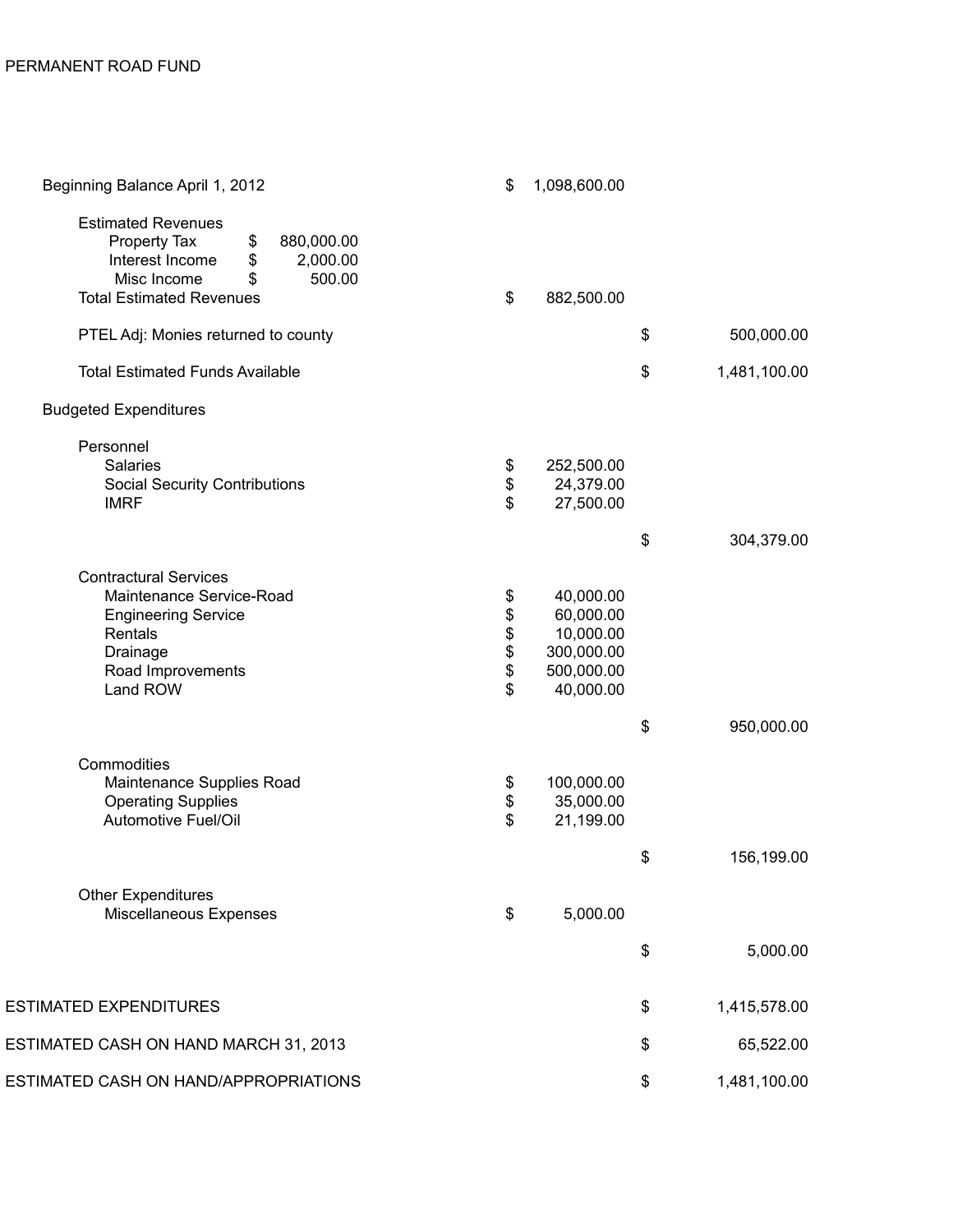| Beginning Balance April 1, 2012                                                                                                                                      | \$                                              | 1,098,600.00                                                                 |                    |
|----------------------------------------------------------------------------------------------------------------------------------------------------------------------|-------------------------------------------------|------------------------------------------------------------------------------|--------------------|
| <b>Estimated Revenues</b><br>Property Tax<br>\$<br>880,000.00<br>Interest Income<br>\$<br>2,000.00<br>Misc Income<br>\$<br>500.00<br><b>Total Estimated Revenues</b> | \$                                              | 882,500.00                                                                   |                    |
| PTEL Adj: Monies returned to county                                                                                                                                  |                                                 |                                                                              | \$<br>500,000.00   |
| <b>Total Estimated Funds Available</b>                                                                                                                               |                                                 |                                                                              | \$<br>1,481,100.00 |
| <b>Budgeted Expenditures</b>                                                                                                                                         |                                                 |                                                                              |                    |
| Personnel<br><b>Salaries</b><br><b>Social Security Contributions</b><br><b>IMRF</b>                                                                                  | \$<br>\$<br>\$                                  | 252,500.00<br>24,379.00<br>27,500.00                                         |                    |
|                                                                                                                                                                      |                                                 |                                                                              | \$<br>304,379.00   |
| <b>Contractural Services</b><br>Maintenance Service-Road<br><b>Engineering Service</b><br>Rentals<br>Drainage<br>Road Improvements<br>Land ROW                       | \$<br>$\boldsymbol{\$}$<br>\$<br>\$<br>\$<br>\$ | 40,000.00<br>60,000.00<br>10,000.00<br>300,000.00<br>500,000.00<br>40,000.00 |                    |
|                                                                                                                                                                      |                                                 |                                                                              | \$<br>950,000.00   |
| Commodities<br>Maintenance Supplies Road<br><b>Operating Supplies</b><br>Automotive Fuel/Oil                                                                         | \$<br>\$<br>\$                                  | 100,000.00<br>35,000.00<br>21,199.00                                         |                    |
|                                                                                                                                                                      |                                                 |                                                                              | \$<br>156,199.00   |
| <b>Other Expenditures</b><br>Miscellaneous Expenses                                                                                                                  | \$                                              | 5,000.00                                                                     |                    |
|                                                                                                                                                                      |                                                 |                                                                              | \$<br>5,000.00     |
| ESTIMATED EXPENDITURES                                                                                                                                               |                                                 |                                                                              | \$<br>1,415,578.00 |
| ESTIMATED CASH ON HAND MARCH 31, 2013                                                                                                                                |                                                 |                                                                              | \$<br>65,522.00    |
| ESTIMATED CASH ON HAND/APPROPRIATIONS                                                                                                                                |                                                 |                                                                              | \$<br>1,481,100.00 |